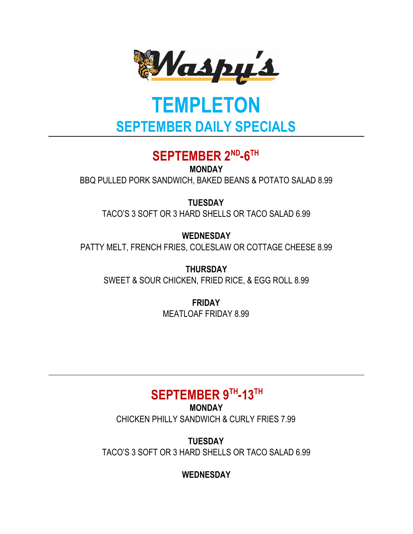

# **TEMPLETON SEPTEMBER DAILY SPECIALS**

# SEPTEMBER 2<sup>ND</sup>-6<sup>TH</sup>

**MONDAY**

BBQ PULLED PORK SANDWICH, BAKED BEANS & POTATO SALAD 8.99

**TUESDAY**

TACO'S 3 SOFT OR 3 HARD SHELLS OR TACO SALAD 6.99

**WEDNESDAY** PATTY MELT, FRENCH FRIES, COLESLAW OR COTTAGE CHEESE 8.99

**THURSDAY** SWEET & SOUR CHICKEN, FRIED RICE, & EGG ROLL 8.99

> **FRIDAY** MEATLOAF FRIDAY 8.99

# $SEPTEMBER 9<sup>TH</sup> - 13<sup>TH</sup>$

**MONDAY** CHICKEN PHILLY SANDWICH & CURLY FRIES 7.99

**TUESDAY** TACO'S 3 SOFT OR 3 HARD SHELLS OR TACO SALAD 6.99

**WEDNESDAY**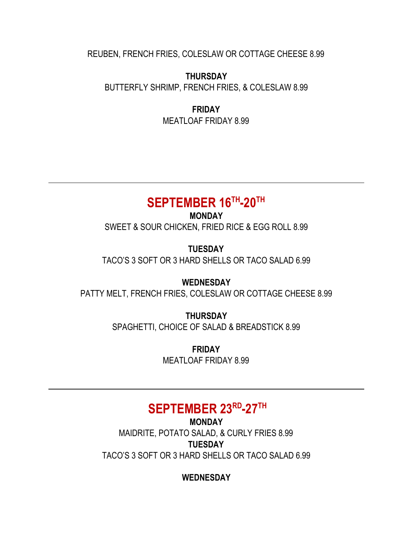REUBEN, FRENCH FRIES, COLESLAW OR COTTAGE CHEESE 8.99

#### **THURSDAY**

BUTTERFLY SHRIMP, FRENCH FRIES, & COLESLAW 8.99

**FRIDAY** MEATLOAF FRIDAY 8.99

### $SEPTEMBER 16<sup>TH</sup> - 20<sup>TH</sup>$

**MONDAY** SWEET & SOUR CHICKEN, FRIED RICE & EGG ROLL 8.99

**TUESDAY** TACO'S 3 SOFT OR 3 HARD SHELLS OR TACO SALAD 6.99

**WEDNESDAY** PATTY MELT, FRENCH FRIES, COLESLAW OR COTTAGE CHEESE 8.99

> **THURSDAY** SPAGHETTI, CHOICE OF SALAD & BREADSTICK 8.99

> > **FRIDAY** MEATLOAF FRIDAY 8.99

### **SEPTEMBER 23 RD -27 TH**

**MONDAY** MAIDRITE, POTATO SALAD, & CURLY FRIES 8.99 **TUESDAY** TACO'S 3 SOFT OR 3 HARD SHELLS OR TACO SALAD 6.99

**WEDNESDAY**